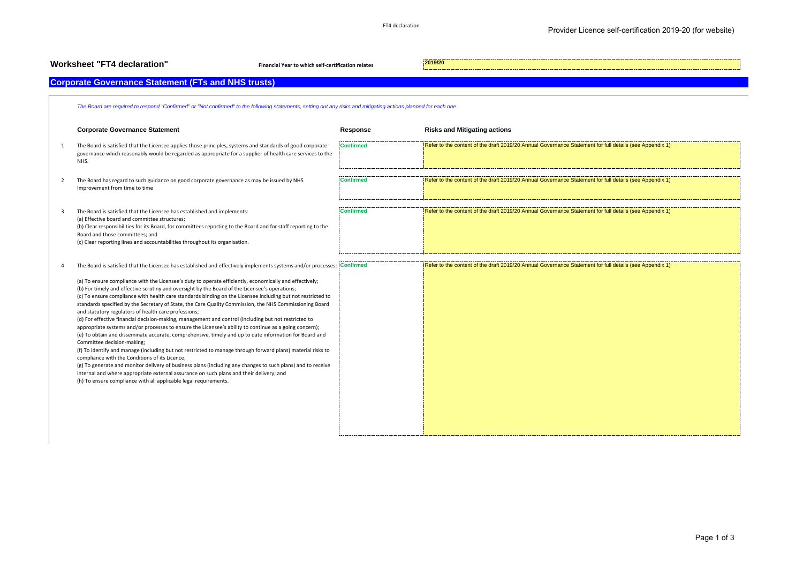| <b>Worksheet "FT4 declaration"</b><br>Financial Year to which self-certification relates                                                                                                                 |                                                                                                                                                                                                                                                                                                                                                                                                                                                                                                                                                                                                                                                                                                                                                                                                                                                                                                                                                                                                                                                                                          |                  | 2019/20                                                                                                 |  |  |  |
|----------------------------------------------------------------------------------------------------------------------------------------------------------------------------------------------------------|------------------------------------------------------------------------------------------------------------------------------------------------------------------------------------------------------------------------------------------------------------------------------------------------------------------------------------------------------------------------------------------------------------------------------------------------------------------------------------------------------------------------------------------------------------------------------------------------------------------------------------------------------------------------------------------------------------------------------------------------------------------------------------------------------------------------------------------------------------------------------------------------------------------------------------------------------------------------------------------------------------------------------------------------------------------------------------------|------------------|---------------------------------------------------------------------------------------------------------|--|--|--|
|                                                                                                                                                                                                          | <b>Corporate Governance Statement (FTs and NHS trusts)</b>                                                                                                                                                                                                                                                                                                                                                                                                                                                                                                                                                                                                                                                                                                                                                                                                                                                                                                                                                                                                                               |                  |                                                                                                         |  |  |  |
|                                                                                                                                                                                                          |                                                                                                                                                                                                                                                                                                                                                                                                                                                                                                                                                                                                                                                                                                                                                                                                                                                                                                                                                                                                                                                                                          |                  |                                                                                                         |  |  |  |
| The Board are required to respond "Confirmed" or "Not confirmed" to the following statements, setting out any risks and mitigating actions planned for each one                                          |                                                                                                                                                                                                                                                                                                                                                                                                                                                                                                                                                                                                                                                                                                                                                                                                                                                                                                                                                                                                                                                                                          |                  |                                                                                                         |  |  |  |
| <b>Corporate Governance Statement</b>                                                                                                                                                                    |                                                                                                                                                                                                                                                                                                                                                                                                                                                                                                                                                                                                                                                                                                                                                                                                                                                                                                                                                                                                                                                                                          | Response         | <b>Risks and Mitigating actions</b>                                                                     |  |  |  |
| $\overline{1}$<br>NHS.                                                                                                                                                                                   | The Board is satisfied that the Licensee applies those principles, systems and standards of good corporate<br>governance which reasonably would be regarded as appropriate for a supplier of health care services to the                                                                                                                                                                                                                                                                                                                                                                                                                                                                                                                                                                                                                                                                                                                                                                                                                                                                 | <b>Confirmed</b> | Refer to the content of the draft 2019/20 Annual Governance Statement for full details (see Appendix 1) |  |  |  |
| $\overline{2}$<br>Improvement from time to time                                                                                                                                                          | The Board has regard to such guidance on good corporate governance as may be issued by NHS                                                                                                                                                                                                                                                                                                                                                                                                                                                                                                                                                                                                                                                                                                                                                                                                                                                                                                                                                                                               | <b>Confirmed</b> | Refer to the content of the draft 2019/20 Annual Governance Statement for full details (see Appendix 1) |  |  |  |
| 3<br>(a) Effective board and committee structures;<br>Board and those committees; and                                                                                                                    | The Board is satisfied that the Licensee has established and implements:<br>(b) Clear responsibilities for its Board, for committees reporting to the Board and for staff reporting to the<br>(c) Clear reporting lines and accountabilities throughout its organisation.                                                                                                                                                                                                                                                                                                                                                                                                                                                                                                                                                                                                                                                                                                                                                                                                                | <b>Confirmed</b> | Refer to the content of the draft 2019/20 Annual Governance Statement for full details (see Appendix 1) |  |  |  |
| $\Delta$                                                                                                                                                                                                 | The Board is satisfied that the Licensee has established and effectively implements systems and/or processes: Confirmed                                                                                                                                                                                                                                                                                                                                                                                                                                                                                                                                                                                                                                                                                                                                                                                                                                                                                                                                                                  |                  | Refer to the content of the draft 2019/20 Annual Governance Statement for full details (see Appendix 1) |  |  |  |
| and statutory regulators of health care professions;<br>Committee decision-making;<br>compliance with the Conditions of its Licence;<br>(h) To ensure compliance with all applicable legal requirements. | (a) To ensure compliance with the Licensee's duty to operate efficiently, economically and effectively;<br>(b) For timely and effective scrutiny and oversight by the Board of the Licensee's operations;<br>(c) To ensure compliance with health care standards binding on the Licensee including but not restricted to<br>standards specified by the Secretary of State, the Care Quality Commission, the NHS Commissioning Board<br>(d) For effective financial decision-making, management and control (including but not restricted to<br>appropriate systems and/or processes to ensure the Licensee's ability to continue as a going concern);<br>(e) To obtain and disseminate accurate, comprehensive, timely and up to date information for Board and<br>(f) To identify and manage (including but not restricted to manage through forward plans) material risks to<br>(g) To generate and monitor delivery of business plans (including any changes to such plans) and to receive<br>internal and where appropriate external assurance on such plans and their delivery; and |                  |                                                                                                         |  |  |  |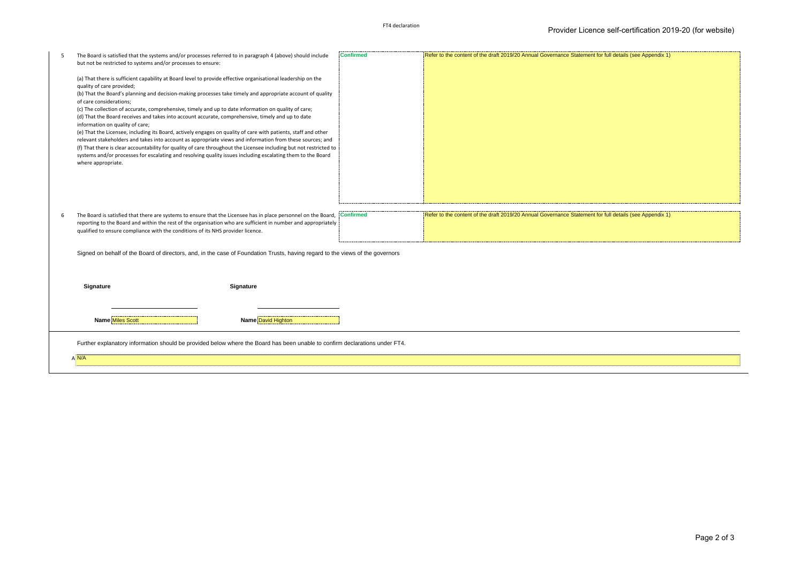|                                                                                                                                                                                                  | The Board is satisfied that the systems and/or processes referred to in paragraph 4 (above) should include<br>but not be restricted to systems and/or processes to ensure:                                                      | <b>Confirmed</b> | Refer to the content of the draft 2019/20 Annual Governance Statement for full details (see Appendix 1) |
|--------------------------------------------------------------------------------------------------------------------------------------------------------------------------------------------------|---------------------------------------------------------------------------------------------------------------------------------------------------------------------------------------------------------------------------------|------------------|---------------------------------------------------------------------------------------------------------|
|                                                                                                                                                                                                  |                                                                                                                                                                                                                                 |                  |                                                                                                         |
|                                                                                                                                                                                                  | (a) That there is sufficient capability at Board level to provide effective organisational leadership on the<br>quality of care provided;                                                                                       |                  |                                                                                                         |
|                                                                                                                                                                                                  | (b) That the Board's planning and decision-making processes take timely and appropriate account of quality                                                                                                                      |                  |                                                                                                         |
|                                                                                                                                                                                                  | of care considerations;<br>(c) The collection of accurate, comprehensive, timely and up to date information on quality of care;                                                                                                 |                  |                                                                                                         |
|                                                                                                                                                                                                  | (d) That the Board receives and takes into account accurate, comprehensive, timely and up to date                                                                                                                               |                  |                                                                                                         |
|                                                                                                                                                                                                  | information on quality of care;<br>(e) That the Licensee, including its Board, actively engages on quality of care with patients, staff and other                                                                               |                  |                                                                                                         |
|                                                                                                                                                                                                  | relevant stakeholders and takes into account as appropriate views and information from these sources; and<br>(f) That there is clear accountability for quality of care throughout the Licensee including but not restricted to |                  |                                                                                                         |
|                                                                                                                                                                                                  | systems and/or processes for escalating and resolving quality issues including escalating them to the Board                                                                                                                     |                  |                                                                                                         |
|                                                                                                                                                                                                  | where appropriate.                                                                                                                                                                                                              |                  |                                                                                                         |
|                                                                                                                                                                                                  |                                                                                                                                                                                                                                 |                  |                                                                                                         |
|                                                                                                                                                                                                  |                                                                                                                                                                                                                                 |                  |                                                                                                         |
|                                                                                                                                                                                                  |                                                                                                                                                                                                                                 |                  |                                                                                                         |
| 6                                                                                                                                                                                                | The Board is satisfied that there are systems to ensure that the Licensee has in place personnel on the Board,                                                                                                                  | <b>Confirmed</b> | Refer to the content of the draft 2019/20 Annual Governance Statement for full details (see Appendix 1) |
| reporting to the Board and within the rest of the organisation who are sufficient in number and appropriately<br>qualified to ensure compliance with the conditions of its NHS provider licence. |                                                                                                                                                                                                                                 |                  |                                                                                                         |
|                                                                                                                                                                                                  |                                                                                                                                                                                                                                 |                  |                                                                                                         |
|                                                                                                                                                                                                  |                                                                                                                                                                                                                                 |                  |                                                                                                         |
|                                                                                                                                                                                                  | Signed on behalf of the Board of directors, and, in the case of Foundation Trusts, having regard to the views of the governors                                                                                                  |                  |                                                                                                         |
|                                                                                                                                                                                                  |                                                                                                                                                                                                                                 |                  |                                                                                                         |
|                                                                                                                                                                                                  |                                                                                                                                                                                                                                 |                  |                                                                                                         |
|                                                                                                                                                                                                  | Signature<br>Signature                                                                                                                                                                                                          |                  |                                                                                                         |
|                                                                                                                                                                                                  |                                                                                                                                                                                                                                 |                  |                                                                                                         |
|                                                                                                                                                                                                  | <b>Name Miles Scott</b><br>Name David Highton                                                                                                                                                                                   |                  |                                                                                                         |
|                                                                                                                                                                                                  | Further explanatory information should be provided below where the Board has been unable to confirm declarations under FT4.                                                                                                     |                  |                                                                                                         |